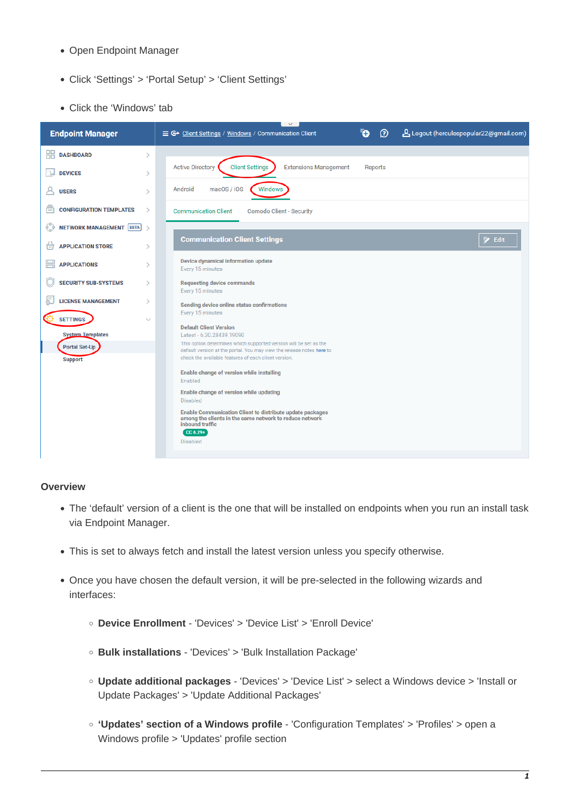- Open Endpoint Manager
- Click 'Settings' > 'Portal Setup' > 'Client Settings'
- Click the 'Windows' tab



#### **Overview**

- The 'default' version of a client is the one that will be installed on endpoints when you run an install task via Endpoint Manager.
- This is set to always fetch and install the latest version unless you specify otherwise.
- <span id="page-0-0"></span>Once you have chosen the default version, it will be pre-selected in the following wizards and interfaces:
	- **Device Enrollment** 'Devices' > 'Device List' > 'Enroll Device'
	- **Bulk installations** 'Devices' > 'Bulk Installation Package'
	- **Update additional packages** 'Devices' > 'Device List' > select a Windows device > 'Install or Update Packages' > 'Update Additional Packages'
	- **'Updates' section of a Windows profile** 'Configuration Templates' > 'Profiles' > open a Windows profile > 'Updates' profile section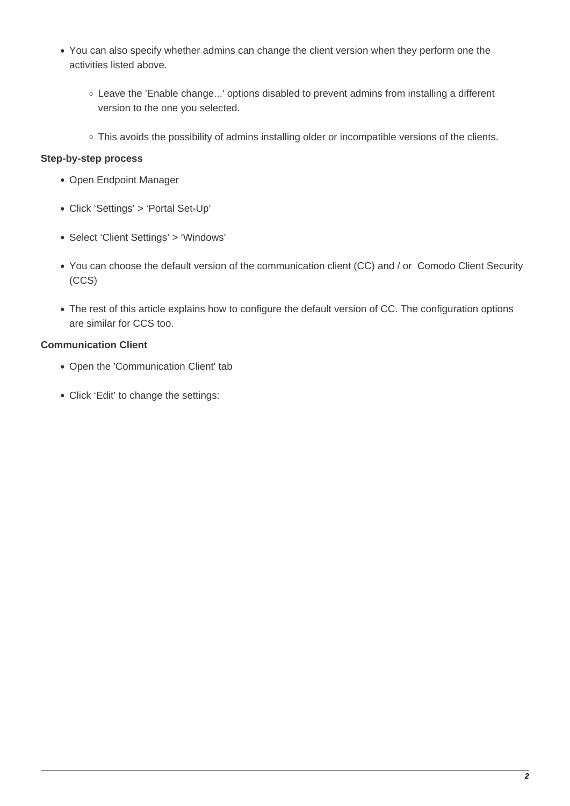- You can also specify whether admins can change the client version when they perform one the activities listed above.
	- Leave the 'Enable change...' options disabled to prevent admins from installing a different version to the one you selected.
	- This avoids the possibility of admins installing older or incompatible versions of the clients.

## **Step-by-step process**

- Open Endpoint Manager
- Click 'Settings' > 'Portal Set-Up'
- Select 'Client Settings' > 'Windows'
- You can choose the default version of the communication client (CC) and / or Comodo Client Security (CCS)
- The rest of this article explains how to configure the default version of CC. The configuration options are similar for CCS too.

# **Communication Client**

- Open the 'Communication Client' tab
- Click 'Edit' to change the settings: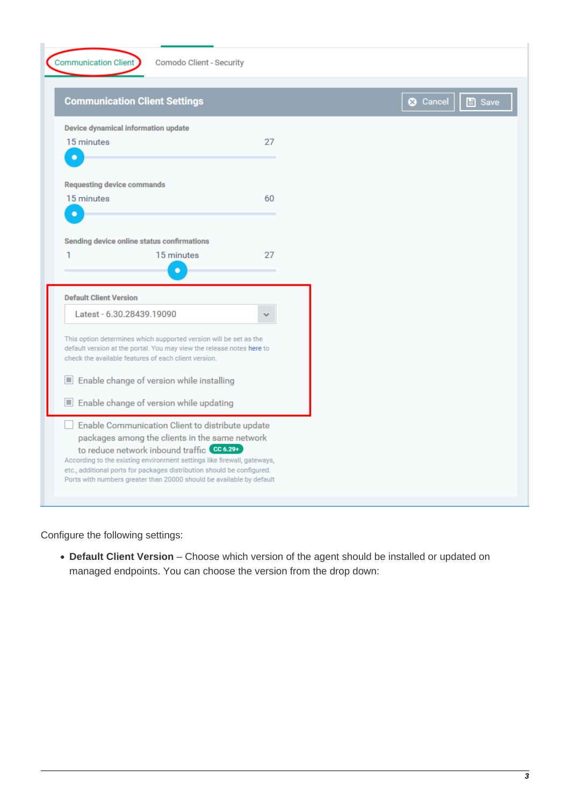**Communication Client** 

**Comodo Client - Security** 

| <b>Communication Client Settings</b>                                                                                                              |    |  |  |  |
|---------------------------------------------------------------------------------------------------------------------------------------------------|----|--|--|--|
| Device dynamical information update                                                                                                               |    |  |  |  |
| 15 minutes                                                                                                                                        | 27 |  |  |  |
| n                                                                                                                                                 |    |  |  |  |
| <b>Requesting device commands</b>                                                                                                                 |    |  |  |  |
| 15 minutes                                                                                                                                        | 60 |  |  |  |
| n                                                                                                                                                 |    |  |  |  |
| Sending device online status confirmations                                                                                                        |    |  |  |  |
| 15 minutes<br>1                                                                                                                                   | 27 |  |  |  |
|                                                                                                                                                   |    |  |  |  |
| <b>Default Client Version</b>                                                                                                                     |    |  |  |  |
| Latest - 6.30.28439.19090                                                                                                                         |    |  |  |  |
| This option determines which supported version will be set as the<br>default version at the portal. You may view the release notes here to        |    |  |  |  |
| check the available features of each client version.                                                                                              |    |  |  |  |
| Enable change of version while installing<br>H                                                                                                    |    |  |  |  |
| Enable change of version while updating<br>ш                                                                                                      |    |  |  |  |
| Enable Communication Client to distribute update                                                                                                  |    |  |  |  |
| packages among the clients in the same network<br>to reduce network inbound traffic CC6.29+                                                       |    |  |  |  |
| According to the existing environment settings like firewall, gateways,<br>etc., additional ports for packages distribution should be configured. |    |  |  |  |
| Ports with numbers greater than 20000 should be available by default                                                                              |    |  |  |  |

Configure the following settings:

**Default Client Version** – Choose which version of the agent should be installed or updated on managed endpoints. You can choose the version from the drop down: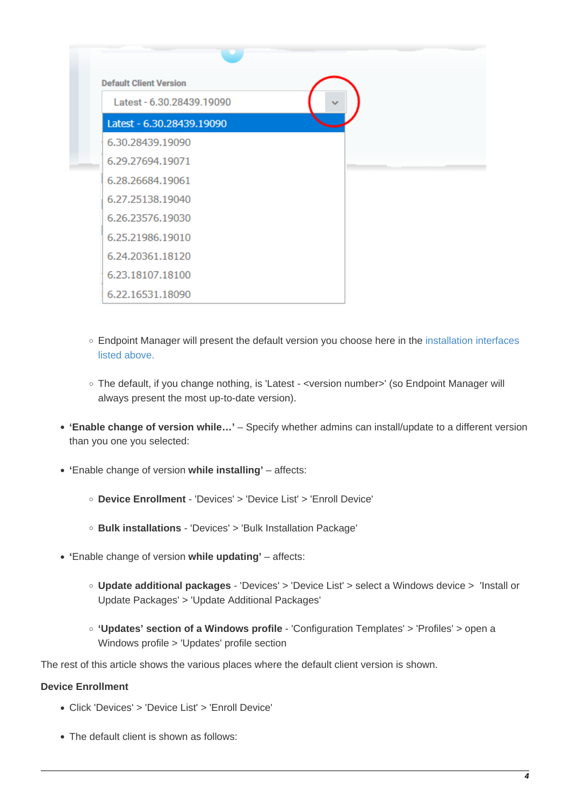| <b>Default Client Version</b> |  |  |  |  |
|-------------------------------|--|--|--|--|
| Latest - 6.30.28439.19090     |  |  |  |  |
| Latest - 6.30.28439.19090     |  |  |  |  |
| 6.30.28439.19090              |  |  |  |  |
| 6.29.27694.19071              |  |  |  |  |
| 6.28.26684.19061              |  |  |  |  |
| 6.27.25138.19040              |  |  |  |  |
| 6.26.23576.19030              |  |  |  |  |
| 6.25.21986.19010              |  |  |  |  |
| 6.24.20361.18120              |  |  |  |  |
| 6.23.18107.18100              |  |  |  |  |
| 6.22.16531.18090              |  |  |  |  |

- Endpoint Manager will present the default version you choose here in the [installation interfaces](#page-0-0) [listed above.](#page-0-0)
- The default, if you change nothing, is 'Latest <version number>' (so Endpoint Manager will always present the most up-to-date version).
- **'Enable change of version while…'** Specify whether admins can install/update to a different version than you one you selected:
- **'**Enable change of version **while installing'**  affects:
	- **Device Enrollment** 'Devices' > 'Device List' > 'Enroll Device'
	- **Bulk installations** 'Devices' > 'Bulk Installation Package'
- **'**Enable change of version **while updating'** affects:
	- **Update additional packages** 'Devices' > 'Device List' > select a Windows device > 'Install or Update Packages' > 'Update Additional Packages'
	- **'Updates' section of a Windows profile** 'Configuration Templates' > 'Profiles' > open a Windows profile > 'Updates' profile section

The rest of this article shows the various places where the default client version is shown.

## **Device Enrollment**

- Click 'Devices' > 'Device List' > 'Enroll Device'
- The default client is shown as follows: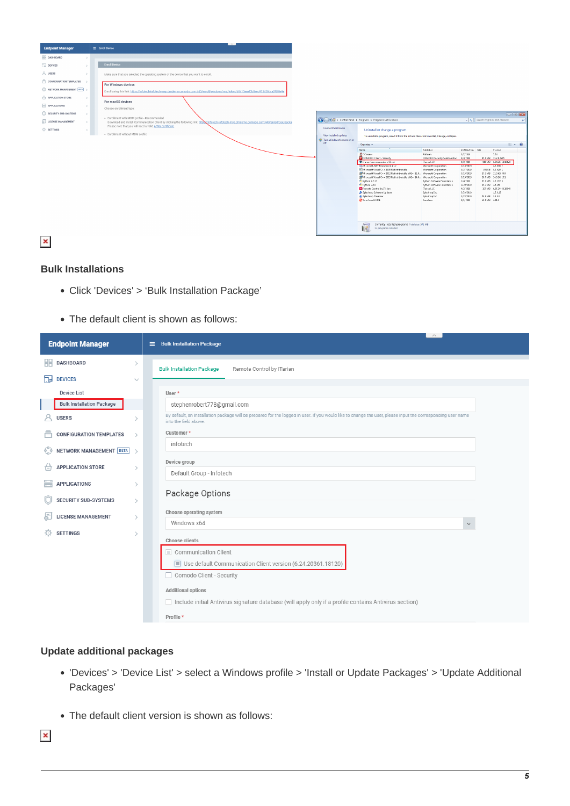

 $\pmb{\times}$ 

### **Bulk Installations**

- Click 'Devices' > 'Bulk Installation Package'
- The default client is shown as follows:

| <b>Endpoint Manager</b>                              | $\wedge$<br>■ Bulk Installation Package                                                                                                                                              |  |  |
|------------------------------------------------------|--------------------------------------------------------------------------------------------------------------------------------------------------------------------------------------|--|--|
| 噐<br><b>DASHBOARD</b><br>$\rightarrow$               | <b>Bulk Installation Package</b><br>Remote Control by ITarian                                                                                                                        |  |  |
| 匍<br><b>DEVICES</b><br>$\checkmark$                  |                                                                                                                                                                                      |  |  |
| <b>Device List</b>                                   | User *                                                                                                                                                                               |  |  |
| <b>Bulk Installation Package</b>                     | stephenrobert778@gmail.com                                                                                                                                                           |  |  |
| <b>USERS</b><br>$\mathcal{E}$                        | By default, an installation package will be prepared for the logged in user. If you would like to change the user, please input the corresponding user name<br>into the field above. |  |  |
| <b>CONFIGURATION TEMPLATES</b><br>高<br>$\rightarrow$ | Customer*                                                                                                                                                                            |  |  |
| ୍ଚ<br>NETWORK MANAGEMENT BETA >                      | infotech                                                                                                                                                                             |  |  |
| <b>APPLICATION STORE</b><br>ਜਿ<br>$\mathcal{P}$      | Device group                                                                                                                                                                         |  |  |
| ₩<br><b>APPLICATIONS</b><br>$\mathcal{P}$            | Default Group - infotech                                                                                                                                                             |  |  |
| <b>SECURITY SUB-SYSTEMS</b><br>$\rightarrow$         | Package Options                                                                                                                                                                      |  |  |
| <b>LICENSE MANAGEMENT</b><br>$\rightarrow$           | Choose operating system                                                                                                                                                              |  |  |
|                                                      | Windows x64<br>$\checkmark$                                                                                                                                                          |  |  |
| <b>SETTINGS</b><br>o<br>$\mathcal{P}$                | Choose clients                                                                                                                                                                       |  |  |
|                                                      | Communication Client                                                                                                                                                                 |  |  |
|                                                      | Use default Communication Client version (6.24.20361.18120)                                                                                                                          |  |  |
|                                                      | Comodo Client - Security                                                                                                                                                             |  |  |
|                                                      | <b>Additional options</b>                                                                                                                                                            |  |  |
|                                                      | Include initial Antivirus signature database (will apply only if a profile contains Antivirus section)                                                                               |  |  |
|                                                      | Profile *                                                                                                                                                                            |  |  |

#### **Update additional packages**

- 'Devices' > 'Device List' > select a Windows profile > 'Install or Update Packages' > 'Update Additional Packages'
- The default client version is shown as follows:

 $\pmb{\times}$